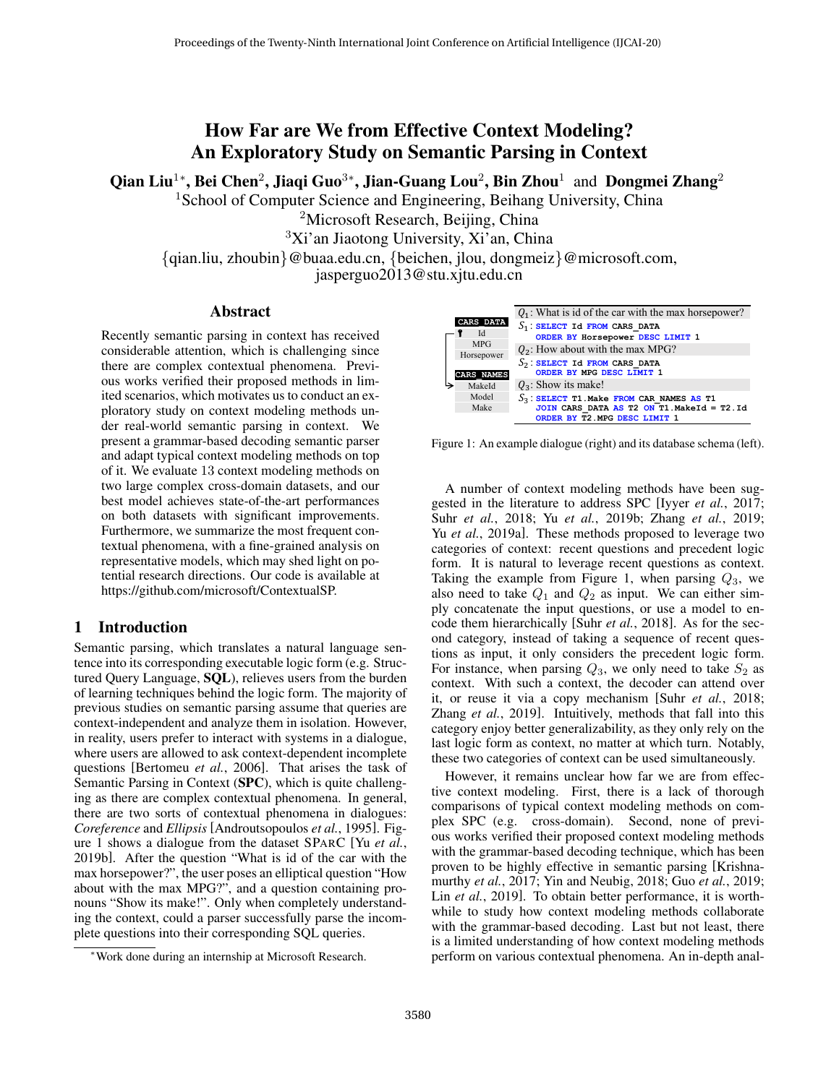# How Far are We from Effective Context Modeling? An Exploratory Study on Semantic Parsing in Context

Qian Liu<sup>1</sup>\*, Bei Chen<sup>2</sup>, Jiaqi Guo<sup>3</sup>\*, Jian-Guang Lou<sup>2</sup>, Bin Zhou<sup>1</sup> and Dongmei Zhang<sup>2</sup>

<sup>1</sup> School of Computer Science and Engineering, Beihang University, China

<sup>2</sup>Microsoft Research, Beijing, China

<sup>3</sup>Xi'an Jiaotong University, Xi'an, China

{qian.liu, zhoubin}@buaa.edu.cn, {beichen, jlou, dongmeiz}@microsoft.com,

jasperguo2013@stu.xjtu.edu.cn

#### Abstract

Recently semantic parsing in context has received considerable attention, which is challenging since there are complex contextual phenomena. Previous works verified their proposed methods in limited scenarios, which motivates us to conduct an exploratory study on context modeling methods under real-world semantic parsing in context. We present a grammar-based decoding semantic parser and adapt typical context modeling methods on top of it. We evaluate 13 context modeling methods on two large complex cross-domain datasets, and our best model achieves state-of-the-art performances on both datasets with significant improvements. Furthermore, we summarize the most frequent contextual phenomena, with a fine-grained analysis on representative models, which may shed light on potential research directions. Our code is available at https://github.com/microsoft/ContextualSP.

#### <span id="page-0-1"></span>1 Introduction

Semantic parsing, which translates a natural language sentence into its corresponding executable logic form (e.g. Structured Query Language, SQL), relieves users from the burden of learning techniques behind the logic form. The majority of previous studies on semantic parsing assume that queries are context-independent and analyze them in isolation. However, in reality, users prefer to interact with systems in a dialogue, where users are allowed to ask context-dependent incomplete questions [\[Bertomeu](#page-6-0) *et al.*, 2006]. That arises the task of Semantic Parsing in Context (SPC), which is quite challenging as there are complex contextual phenomena. In general, there are two sorts of contextual phenomena in dialogues: *Coreference* and *Ellipsis* [\[Androutsopoulos](#page-6-1) *et al.*, 1995]. Figure [1](#page-0-0) shows a dialogue from the dataset SPARC [Yu *[et al.](#page-6-2)*, [2019b\]](#page-6-2). After the question "What is id of the car with the max horsepower?", the user poses an elliptical question "How about with the max MPG?", and a question containing pronouns "Show its make!". Only when completely understanding the context, could a parser successfully parse the incomplete questions into their corresponding SQL queries.

<span id="page-0-0"></span>

Figure 1: An example dialogue (right) and its database schema (left).

A number of context modeling methods have been suggested in the literature to address SPC [Iyyer *et al.*[, 2017;](#page-6-3) Suhr *et al.*[, 2018;](#page-6-4) Yu *et al.*[, 2019b;](#page-6-2) Zhang *et al.*[, 2019;](#page-6-5) Yu *et al.*[, 2019a\]](#page-6-6). These methods proposed to leverage two categories of context: recent questions and precedent logic form. It is natural to leverage recent questions as context. Taking the example from Figure [1,](#page-0-0) when parsing  $Q_3$ , we also need to take  $Q_1$  and  $Q_2$  as input. We can either simply concatenate the input questions, or use a model to encode them hierarchically [Suhr *et al.*[, 2018\]](#page-6-4). As for the second category, instead of taking a sequence of recent questions as input, it only considers the precedent logic form. For instance, when parsing  $Q_3$ , we only need to take  $S_2$  as context. With such a context, the decoder can attend over it, or reuse it via a copy mechanism [Suhr *et al.*[, 2018;](#page-6-4) Zhang *et al.*[, 2019\]](#page-6-5). Intuitively, methods that fall into this category enjoy better generalizability, as they only rely on the last logic form as context, no matter at which turn. Notably, these two categories of context can be used simultaneously.

However, it remains unclear how far we are from effective context modeling. First, there is a lack of thorough comparisons of typical context modeling methods on complex SPC (e.g. cross-domain). Second, none of previous works verified their proposed context modeling methods with the grammar-based decoding technique, which has been proven to be highly effective in semantic parsing [\[Krishna](#page-6-7)[murthy](#page-6-7) *et al.*, 2017; [Yin and Neubig, 2018;](#page-6-8) Guo *et al.*[, 2019;](#page-6-9) Lin *et al.*[, 2019\]](#page-6-10). To obtain better performance, it is worthwhile to study how context modeling methods collaborate with the grammar-based decoding. Last but not least, there is a limited understanding of how context modeling methods perform on various contextual phenomena. An in-depth anal-

<sup>∗</sup>Work done during an internship at Microsoft Research.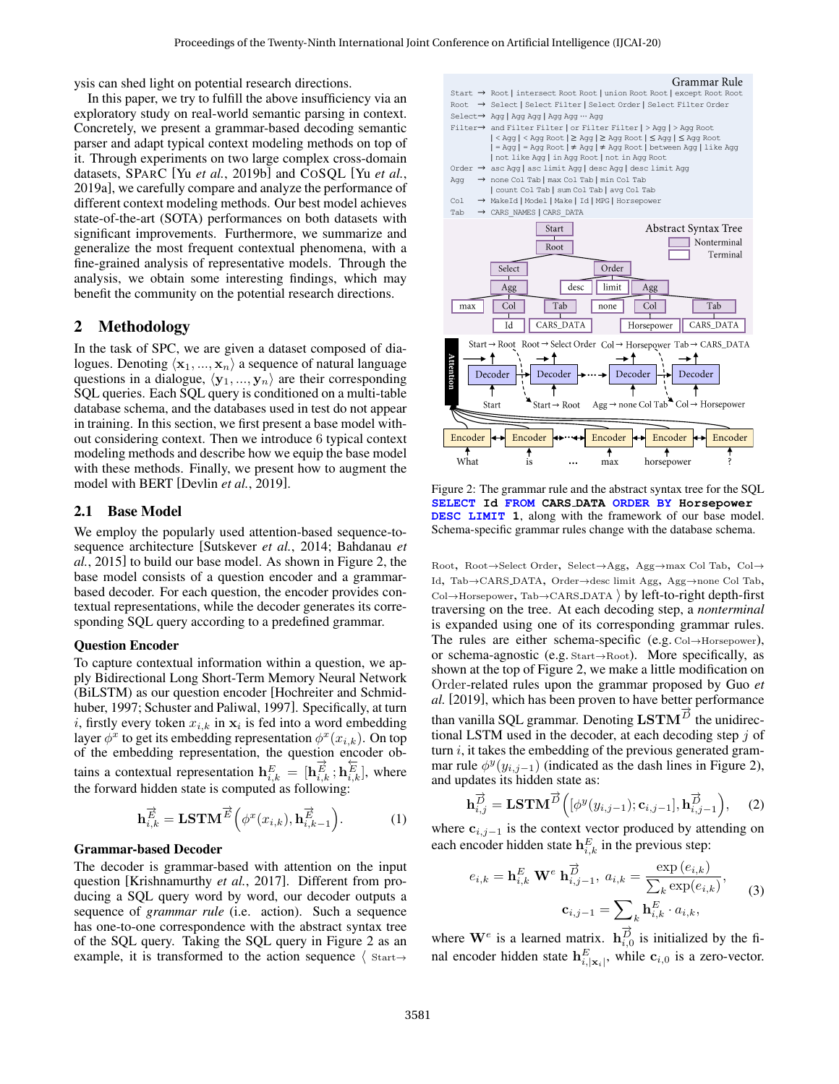ysis can shed light on potential research directions.

In this paper, we try to fulfill the above insufficiency via an exploratory study on real-world semantic parsing in context. Concretely, we present a grammar-based decoding semantic parser and adapt typical context modeling methods on top of it. Through experiments on two large complex cross-domain datasets, SPARC [Yu *et al.*[, 2019b\]](#page-6-2) and COSQL [Yu *[et al.](#page-6-6)*, [2019a\]](#page-6-6), we carefully compare and analyze the performance of different context modeling methods. Our best model achieves state-of-the-art (SOTA) performances on both datasets with significant improvements. Furthermore, we summarize and generalize the most frequent contextual phenomena, with a fine-grained analysis of representative models. Through the analysis, we obtain some interesting findings, which may benefit the community on the potential research directions.

## <span id="page-1-4"></span>2 Methodology

In the task of SPC, we are given a dataset composed of dialogues. Denoting  $\langle x_1, ..., x_n \rangle$  a sequence of natural language questions in a dialogue,  $\langle y_1, ..., y_n \rangle$  are their corresponding SQL queries. Each SQL query is conditioned on a multi-table database schema, and the databases used in test do not appear in training. In this section, we first present a base model without considering context. Then we introduce 6 typical context modeling methods and describe how we equip the base model with these methods. Finally, we present how to augment the model with BERT [\[Devlin](#page-6-11) *et al.*, 2019].

#### 2.1 Base Model

We employ the popularly used attention-based sequence-tosequence architecture [\[Sutskever](#page-6-12) *et al.*, 2014; [Bahdanau](#page-6-13) *et al.*[, 2015\]](#page-6-13) to build our base model. As shown in Figure [2,](#page-1-0) the base model consists of a question encoder and a grammarbased decoder. For each question, the encoder provides contextual representations, while the decoder generates its corresponding SQL query according to a predefined grammar.

#### Question Encoder

To capture contextual information within a question, we apply Bidirectional Long Short-Term Memory Neural Network (BiLSTM) as our question encoder [\[Hochreiter and Schmid](#page-6-14)[huber, 1997;](#page-6-14) [Schuster and Paliwal, 1997\]](#page-6-15). Specifically, at turn i, firstly every token  $x_{i,k}$  in  $x_i$  is fed into a word embedding layer  $\phi^x$  to get its embedding representation  $\phi^x(x_{i,k})$ . On top of the embedding representation, the question encoder obtains a contextual representation  $\mathbf{h}_{i,k}^E = [\mathbf{h}_{i,k}^{\overrightarrow{E}}; \mathbf{h}_{i,k}^{\overleftarrow{E}}]$ , where the forward hidden state is computed as following:

$$
\mathbf{h}_{i,k}^{\overrightarrow{E}} = \mathbf{LSTM}^{\overrightarrow{E}}\left(\phi^x(x_{i,k}), \mathbf{h}_{i,k-1}^{\overrightarrow{E}}\right).
$$
 (1)

#### Grammar-based Decoder

The decoder is grammar-based with attention on the input question [\[Krishnamurthy](#page-6-7) *et al.*, 2017]. Different from producing a SQL query word by word, our decoder outputs a sequence of *grammar rule* (i.e. action). Such a sequence has one-to-one correspondence with the abstract syntax tree of the SQL query. Taking the SQL query in Figure [2](#page-1-0) as an example, it is transformed to the action sequence  $\langle$  Start $\rightarrow$ 

<span id="page-1-0"></span>

Figure 2: The grammar rule and the abstract syntax tree for the SQL **SELECT Id FROM CARS DATA ORDER BY Horsepower DESC LIMIT 1**, along with the framework of our base model. Schema-specific grammar rules change with the database schema.

Root, Root→Select Order, Select→Agg, Agg→max Col Tab, Col<sup>→</sup> Id, Tab→CARS DATA, Order→desc limit Agg, Agg→none Col Tab,  $Col \rightarrow$ Horsepower, Tab $\rightarrow$ CARS DATA  $\rangle$  by left-to-right depth-first traversing on the tree. At each decoding step, a *nonterminal* is expanded using one of its corresponding grammar rules. The rules are either schema-specific (e.g. Col→Horsepower), or schema-agnostic (e.g. Start→Root). More specifically, as shown at the top of Figure [2,](#page-1-0) we make a little modification on Order-related rules upon the grammar proposed by [Guo](#page-6-9) *et [al.](#page-6-9)* [\[2019\]](#page-6-9), which has been proven to have better performance than vanilla SQL grammar. Denoting  $\mathbf{LSTM}^{\vec{D}}$  the unidirectional LSTM used in the decoder, at each decoding step  $j$  of turn  $i$ , it takes the embedding of the previous generated grammar rule  $\phi^y(y_{i,j-1})$  (indicated as the dash lines in Figure [2\)](#page-1-0), and updates its hidden state as:

<span id="page-1-3"></span>
$$
\mathbf{h}_{i,j}^{\overrightarrow{D}} = \mathbf{LSTM}^{\overrightarrow{D}}\Big([\phi^y(y_{i,j-1}); \mathbf{c}_{i,j-1}], \mathbf{h}_{i,j-1}^{\overrightarrow{D}}\Big), \quad (2)
$$

<span id="page-1-2"></span>where  $c_{i,j-1}$  is the context vector produced by attending on each encoder hidden state  $\mathbf{h}_{i,k}^E$  in the previous step:

<span id="page-1-1"></span>
$$
e_{i,k} = \mathbf{h}_{i,k}^E \mathbf{W}^e \mathbf{h}_{i,j-1}^{\overrightarrow{D}}, a_{i,k} = \frac{\exp(e_{i,k})}{\sum_k \exp(e_{i,k})},
$$
  

$$
\mathbf{c}_{i,j-1} = \sum_k \mathbf{h}_{i,k}^E \cdot a_{i,k},
$$
 (3)

where  $\mathbf{W}^e$  is a learned matrix.  $\mathbf{h}_{i,0}^{\overrightarrow{D}}$  is initialized by the final encoder hidden state  $\mathbf{h}_{i,|\mathbf{x}_i|}^E$ , while  $\mathbf{c}_{i,0}$  is a zero-vector.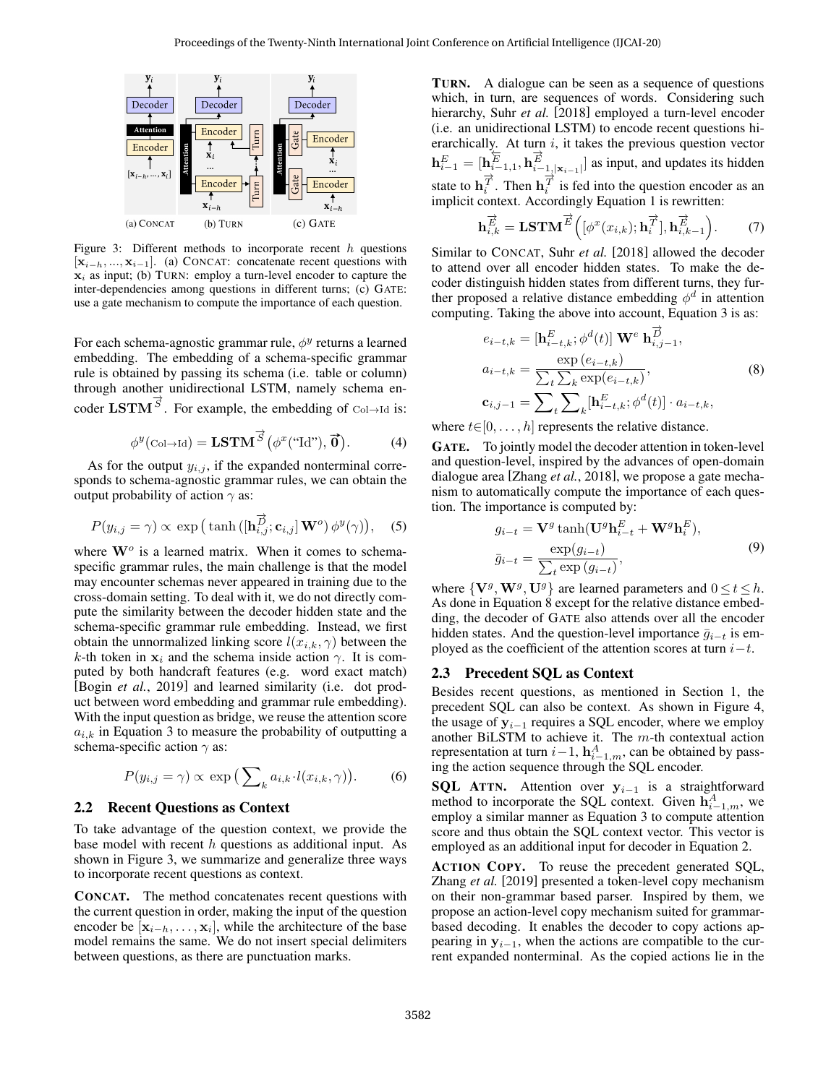<span id="page-2-0"></span>

Figure 3: Different methods to incorporate recent  $h$  questions  $[x_{i-h},...,x_{i-1}]$ . (a) CONCAT: concatenate recent questions with  $x_i$  as input; (b) TURN: employ a turn-level encoder to capture the inter-dependencies among questions in different turns; (c) GATE: use a gate mechanism to compute the importance of each question.

For each schema-agnostic grammar rule,  $\phi^y$  returns a learned embedding. The embedding of a schema-specific grammar rule is obtained by passing its schema (i.e. table or column) through another unidirectional LSTM, namely schema encoder  $LSTM^{\overrightarrow{S}}$ . For example, the embedding of Col→Id is:

<span id="page-2-2"></span>
$$
\phi^{y}(\text{Col}\rightarrow\text{Id}) = \mathbf{LSTM}^{\overrightarrow{S}}(\phi^{x}(\text{``Id''}), \overrightarrow{0}). \tag{4}
$$

As for the output  $y_{i,j}$ , if the expanded nonterminal corresponds to schema-agnostic grammar rules, we can obtain the output probability of action  $\gamma$  as:

$$
P(y_{i,j} = \gamma) \propto \exp\left(\tanh\left(\left[\mathbf{h}_{i,j}^{\overrightarrow{D}}; \mathbf{c}_{i,j}\right] \mathbf{W}^o\right) \phi^y(\gamma)\right), \quad (5)
$$

where  $\mathbf{W}^o$  is a learned matrix. When it comes to schemaspecific grammar rules, the main challenge is that the model may encounter schemas never appeared in training due to the cross-domain setting. To deal with it, we do not directly compute the similarity between the decoder hidden state and the schema-specific grammar rule embedding. Instead, we first obtain the unnormalized linking score  $l(x_{i,k}, \gamma)$  between the k-th token in  $x_i$  and the schema inside action  $\gamma$ . It is computed by both handcraft features (e.g. word exact match) [Bogin *et al.*[, 2019\]](#page-6-16) and learned similarity (i.e. dot product between word embedding and grammar rule embedding). With the input question as bridge, we reuse the attention score  $a_{i,k}$  in Equation [3](#page-1-1) to measure the probability of outputting a schema-specific action  $\gamma$  as:

<span id="page-2-3"></span>
$$
P(y_{i,j} = \gamma) \propto \exp\left(\sum_{k} a_{i,k} \cdot l(x_{i,k}, \gamma)\right). \tag{6}
$$

#### 2.2 Recent Questions as Context

To take advantage of the question context, we provide the base model with recent  $h$  questions as additional input. As shown in Figure [3,](#page-2-0) we summarize and generalize three ways to incorporate recent questions as context.

CONCAT. The method concatenates recent questions with the current question in order, making the input of the question encoder be  $[x_{i-h},...,x_i]$ , while the architecture of the base model remains the same. We do not insert special delimiters between questions, as there are punctuation marks.

TURN. A dialogue can be seen as a sequence of questions which, in turn, are sequences of words. Considering such hierarchy, Suhr *[et al.](#page-6-4)* [\[2018\]](#page-6-4) employed a turn-level encoder (i.e. an unidirectional LSTM) to encode recent questions hierarchically. At turn  $i$ , it takes the previous question vector  $\mathbf{h}_{i-1}^E = [\mathbf{h}_{i-1,1}^{\overleftrightarrow{E}}, \mathbf{h}_{i-1,|\mathbf{x}_{i-1}|}^{\overleftrightarrow{E}}]$  as input, and updates its hidden state to  $\mathbf{h}_i^{\overrightarrow{T}}$ . Then  $\mathbf{h}_i^{\overrightarrow{T}}$  is fed into the question encoder as an implicit context. Accordingly Equation [1](#page-1-2) is rewritten:

$$
\mathbf{h}_{i,k}^{\overrightarrow{E}} = \mathbf{LSTM}^{\overrightarrow{E}}\left( [\phi^x(x_{i,k}); \mathbf{h}_i^{\overrightarrow{T}}], \mathbf{h}_{i,k-1}^{\overrightarrow{E}} \right). \tag{7}
$$

Similar to CONCAT, Suhr *[et al.](#page-6-4)* [\[2018\]](#page-6-4) allowed the decoder to attend over all encoder hidden states. To make the decoder distinguish hidden states from different turns, they further proposed a relative distance embedding  $\phi^d$  in attention computing. Taking the above into account, Equation [3](#page-1-1) is as:

<span id="page-2-1"></span>
$$
e_{i-t,k} = [\mathbf{h}_{i-t,k}^{E}; \phi^{d}(t)] \mathbf{W}^{e} \mathbf{h}_{i,j-1}^{\overrightarrow{D}},
$$
  
\n
$$
a_{i-t,k} = \frac{\exp(e_{i-t,k})}{\sum_{t} \sum_{k} \exp(e_{i-t,k})},
$$
  
\n
$$
\mathbf{c}_{i,j-1} = \sum_{t} \sum_{k} [\mathbf{h}_{i-t,k}^{E}; \phi^{d}(t)] \cdot a_{i-t,k},
$$
\n(8)

where  $t \in [0, \ldots, h]$  represents the relative distance.

GATE. To jointly model the decoder attention in token-level and question-level, inspired by the advances of open-domain dialogue area [\[Zhang](#page-6-17) *et al.*, 2018], we propose a gate mechanism to automatically compute the importance of each question. The importance is computed by:

$$
g_{i-t} = \mathbf{V}^g \tanh(\mathbf{U}^g \mathbf{h}_{i-t}^E + \mathbf{W}^g \mathbf{h}_i^E),
$$
  

$$
\bar{g}_{i-t} = \frac{\exp(g_{i-t})}{\sum_t \exp(g_{i-t})},
$$
 (9)

where  $\{V^g, W^g, U^g\}$  are learned parameters and  $0 \le t \le h$ . As done in Equation [8](#page-2-1) except for the relative distance embedding, the decoder of GATE also attends over all the encoder hidden states. And the question-level importance  $\bar{g}_{i-t}$  is employed as the coefficient of the attention scores at turn  $i-t$ .

#### 2.3 Precedent SQL as Context

Besides recent questions, as mentioned in Section [1,](#page-0-1) the precedent SQL can also be context. As shown in Figure [4,](#page-3-0) the usage of  $y_{i-1}$  requires a SQL encoder, where we employ another BiLSTM to achieve it. The m-th contextual action representation at turn  $i-1$ ,  $\mathbf{h}_{i-1,m}^{A}$ , can be obtained by passing the action sequence through the SQL encoder.

**SQL ATTN.** Attention over  $y_{i-1}$  is a straightforward method to incorporate the SQL context. Given  $\mathbf{h}_{i-1,m}^A$ , we employ a similar manner as Equation [3](#page-1-1) to compute attention score and thus obtain the SQL context vector. This vector is employed as an additional input for decoder in Equation [2.](#page-1-3)

ACTION COPY. To reuse the precedent generated SQL, [Zhang](#page-6-5) *et al.* [\[2019\]](#page-6-5) presented a token-level copy mechanism on their non-grammar based parser. Inspired by them, we propose an action-level copy mechanism suited for grammarbased decoding. It enables the decoder to copy actions appearing in  $y_{i-1}$ , when the actions are compatible to the current expanded nonterminal. As the copied actions lie in the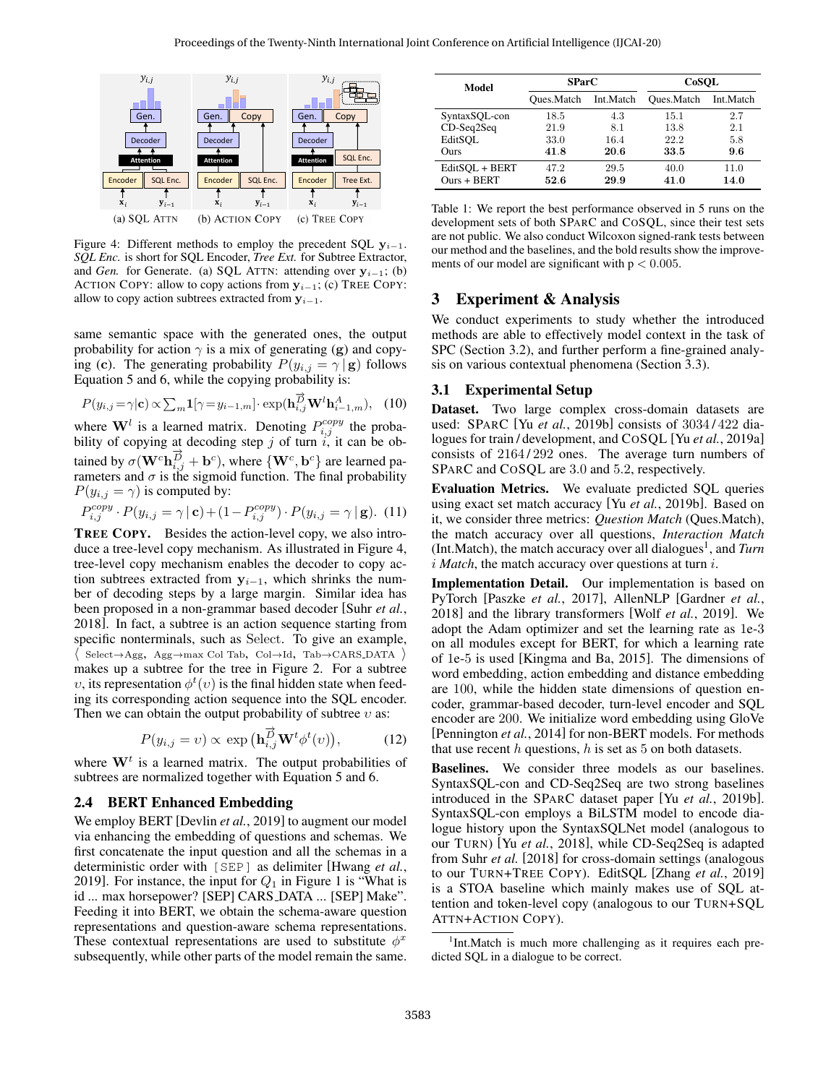<span id="page-3-0"></span>

Figure 4: Different methods to employ the precedent SQL  $y_{i-1}$ . *SQL Enc.* is short for SQL Encoder, *Tree Ext.* for Subtree Extractor, and *Gen.* for Generate. (a) SQL ATTN: attending over  $y_{i-1}$ ; (b) ACTION COPY: allow to copy actions from  $y_{i-1}$ ; (c) TREE COPY: allow to copy action subtrees extracted from  $y_{i-1}$ .

same semantic space with the generated ones, the output probability for action  $\gamma$  is a mix of generating (g) and copying (c). The generating probability  $P(y_{i,j} = \gamma | \mathbf{g})$  follows Equation [5](#page-2-2) and [6,](#page-2-3) while the copying probability is:

$$
P(y_{i,j} = \gamma | \mathbf{c}) \propto \sum_{m} \mathbf{1} [\gamma = y_{i-1,m}] \cdot \exp(\mathbf{h}_{i,j}^{\overrightarrow{D}} \mathbf{W}^l \mathbf{h}_{i-1,m}^A), \quad (10)
$$

where  $\mathbf{W}^l$  is a learned matrix. Denoting  $P_{i,j}^{copy}$  the probability of copying at decoding step j of turn  $i$ , it can be obtained by  $\sigma(\mathbf{W}^c \mathbf{h}_{i,j}^{\vec{D}} + \mathbf{b}^c)$ , where  $\{\mathbf{W}^c, \mathbf{b}^c\}$  are learned parameters and  $\sigma$  is the sigmoid function. The final probability  $P(y_{i,j} = \gamma)$  is computed by:

$$
P_{i,j}^{copy} \cdot P(y_{i,j} = \gamma | \mathbf{c}) + (1 - P_{i,j}^{copy}) \cdot P(y_{i,j} = \gamma | \mathbf{g}). \tag{11}
$$

TREE COPY. Besides the action-level copy, we also introduce a tree-level copy mechanism. As illustrated in Figure [4,](#page-3-0) tree-level copy mechanism enables the decoder to copy action subtrees extracted from  $y_{i-1}$ , which shrinks the number of decoding steps by a large margin. Similar idea has been proposed in a non-grammar based decoder [\[Suhr](#page-6-4) *et al.*, [2018\]](#page-6-4). In fact, a subtree is an action sequence starting from specific nonterminals, such as Select. To give an example,  $\langle$  Select→Agg, Agg→max Col Tab, Col→Id, Tab→CARS\_DATA  $\rangle$ makes up a subtree for the tree in Figure [2.](#page-1-0) For a subtree v, its representation  $\phi^t(v)$  is the final hidden state when feeding its corresponding action sequence into the SQL encoder. Then we can obtain the output probability of subtree  $v$  as:

$$
P(y_{i,j} = v) \propto \exp\left(\mathbf{h}_{i,j}^{\overrightarrow{D}} \mathbf{W}^t \phi^t(v)\right),\tag{12}
$$

where  $W<sup>t</sup>$  is a learned matrix. The output probabilities of subtrees are normalized together with Equation [5](#page-2-2) and [6.](#page-2-3)

#### 2.4 BERT Enhanced Embedding

We employ BERT [\[Devlin](#page-6-11) et al., 2019] to augment our model via enhancing the embedding of questions and schemas. We first concatenate the input question and all the schemas in a deterministic order with [SEP] as delimiter [\[Hwang](#page-6-18) *et al.*, [2019\]](#page-6-18). For instance, the input for  $Q_1$  in Figure [1](#page-0-0) is "What is id ... max horsepower? [SEP] CARS DATA ... [SEP] Make". Feeding it into BERT, we obtain the schema-aware question representations and question-aware schema representations. These contextual representations are used to substitute  $\phi^x$ subsequently, while other parts of the model remain the same.

<span id="page-3-2"></span>

| Model                           | <b>SParC</b>         |              | CoSOL                |              |
|---------------------------------|----------------------|--------------|----------------------|--------------|
|                                 | Oues.Match Int.Match |              | Oues.Match Int.Match |              |
| SyntaxSQL-con                   | 18.5                 | 4.3          | 15.1                 | 2.7          |
| $CD-Seq2Seq$                    | 21.9                 | 8.1          | 13.8                 | 2.1          |
| EditSOL                         | 33.0                 | 16.4         | 22.2                 | 5.8          |
| Ours                            | 41.8                 | 20.6         | 33.5                 | 9.6          |
| EditSQL + BERT<br>$Ours + BERT$ | 47.2<br>52.6         | 29.5<br>29.9 | 40.0<br>41.0         | 11.0<br>14.0 |
|                                 |                      |              |                      |              |

Table 1: We report the best performance observed in 5 runs on the development sets of both SPARC and COSQL, since their test sets are not public. We also conduct Wilcoxon signed-rank tests between our method and the baselines, and the bold results show the improvements of our model are significant with  $p < 0.005$ .

#### 3 Experiment & Analysis

We conduct experiments to study whether the introduced methods are able to effectively model context in the task of SPC (Section [3.2\)](#page-4-0), and further perform a fine-grained analysis on various contextual phenomena (Section [3.3\)](#page-4-1).

#### 3.1 Experimental Setup

Dataset. Two large complex cross-domain datasets are used: SPARC [Yu *et al.*[, 2019b\]](#page-6-2) consists of 3034 / 422 dialogues for train / development, and COSQL [Yu *et al.*[, 2019a\]](#page-6-6) consists of  $2164/292$  ones. The average turn numbers of SPARC and COSQL are 3.0 and 5.2, respectively.

Evaluation Metrics. We evaluate predicted SQL queries using exact set match accuracy [Yu *et al.*[, 2019b\]](#page-6-2). Based on it, we consider three metrics: *Question Match* (Ques.Match), the match accuracy over all questions, *Interaction Match* (Int.Match), the match accuracy over all dialogues<sup>[1](#page-3-1)</sup>, and *Turn* i *Match*, the match accuracy over questions at turn i.

Implementation Detail. Our implementation is based on PyTorch [\[Paszke](#page-6-19) *et al.*, 2017], AllenNLP [\[Gardner](#page-6-20) *et al.*, [2018\]](#page-6-20) and the library transformers [Wolf *et al.*[, 2019\]](#page-6-21). We adopt the Adam optimizer and set the learning rate as 1e-3 on all modules except for BERT, for which a learning rate of 1e-5 is used [\[Kingma and Ba, 2015\]](#page-6-22). The dimensions of word embedding, action embedding and distance embedding are 100, while the hidden state dimensions of question encoder, grammar-based decoder, turn-level encoder and SQL encoder are 200. We initialize word embedding using GloVe [\[Pennington](#page-6-23) *et al.*, 2014] for non-BERT models. For methods that use recent  $h$  questions,  $h$  is set as 5 on both datasets.

Baselines. We consider three models as our baselines. SyntaxSQL-con and CD-Seq2Seq are two strong baselines introduced in the SPARC dataset paper [Yu *et al.*[, 2019b\]](#page-6-2). SyntaxSQL-con employs a BiLSTM model to encode dialogue history upon the SyntaxSQLNet model (analogous to our TURN) [Yu *et al.*[, 2018\]](#page-6-24), while CD-Seq2Seq is adapted from Suhr *[et al.](#page-6-4)* [\[2018\]](#page-6-4) for cross-domain settings (analogous to our TURN+TREE COPY). EditSQL [Zhang *et al.*[, 2019\]](#page-6-5) is a STOA baseline which mainly makes use of SQL attention and token-level copy (analogous to our TURN+SQL ATTN+ACTION COPY).

<span id="page-3-1"></span><sup>&</sup>lt;sup>1</sup>Int.Match is much more challenging as it requires each predicted SQL in a dialogue to be correct.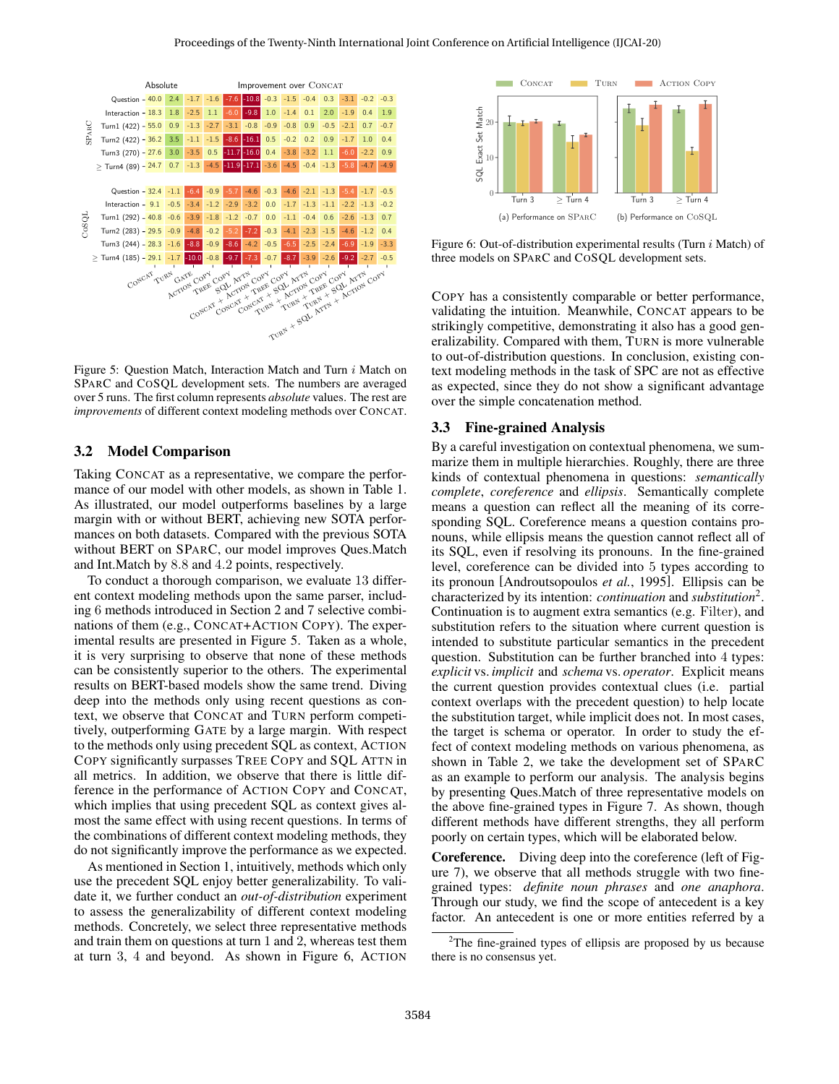<span id="page-4-2"></span>

Figure 5: Question Match, Interaction Match and Turn i Match on SPARC and COSQL development sets. The numbers are averaged over 5 runs. The first column represents *absolute* values. The rest are *improvements* of different context modeling methods over CONCAT.

#### <span id="page-4-0"></span>3.2 Model Comparison

Taking CONCAT as a representative, we compare the performance of our model with other models, as shown in Table [1.](#page-3-2) As illustrated, our model outperforms baselines by a large margin with or without BERT, achieving new SOTA performances on both datasets. Compared with the previous SOTA without BERT on SPARC, our model improves Ques.Match and Int.Match by 8.8 and 4.2 points, respectively.

To conduct a thorough comparison, we evaluate 13 different context modeling methods upon the same parser, including 6 methods introduced in Section [2](#page-1-4) and 7 selective combinations of them (e.g., CONCAT+ACTION COPY). The experimental results are presented in Figure [5.](#page-4-2) Taken as a whole, it is very surprising to observe that none of these methods can be consistently superior to the others. The experimental results on BERT-based models show the same trend. Diving deep into the methods only using recent questions as context, we observe that CONCAT and TURN perform competitively, outperforming GATE by a large margin. With respect to the methods only using precedent SQL as context, ACTION COPY significantly surpasses TREE COPY and SQL ATTN in all metrics. In addition, we observe that there is little difference in the performance of ACTION COPY and CONCAT, which implies that using precedent SQL as context gives almost the same effect with using recent questions. In terms of the combinations of different context modeling methods, they do not significantly improve the performance as we expected.

As mentioned in Section [1,](#page-0-1) intuitively, methods which only use the precedent SQL enjoy better generalizability. To validate it, we further conduct an *out-of-distribution* experiment to assess the generalizability of different context modeling methods. Concretely, we select three representative methods and train them on questions at turn 1 and 2, whereas test them at turn 3, 4 and beyond. As shown in Figure [6,](#page-4-3) ACTION

<span id="page-4-3"></span>

Figure 6: Out-of-distribution experimental results (Turn i Match) of three models on SPARC and COSQL development sets.

COPY has a consistently comparable or better performance, validating the intuition. Meanwhile, CONCAT appears to be strikingly competitive, demonstrating it also has a good generalizability. Compared with them, TURN is more vulnerable to out-of-distribution questions. In conclusion, existing context modeling methods in the task of SPC are not as effective as expected, since they do not show a significant advantage over the simple concatenation method.

#### <span id="page-4-1"></span>3.3 Fine-grained Analysis

By a careful investigation on contextual phenomena, we summarize them in multiple hierarchies. Roughly, there are three kinds of contextual phenomena in questions: *semantically complete*, *coreference* and *ellipsis*. Semantically complete means a question can reflect all the meaning of its corresponding SQL. Coreference means a question contains pronouns, while ellipsis means the question cannot reflect all of its SQL, even if resolving its pronouns. In the fine-grained level, coreference can be divided into 5 types according to its pronoun [\[Androutsopoulos](#page-6-1) *et al.*, 1995]. Ellipsis can be characterized by its intention: *continuation* and *substitution*[2](#page-4-4) . Continuation is to augment extra semantics (e.g. Filter), and substitution refers to the situation where current question is intended to substitute particular semantics in the precedent question. Substitution can be further branched into 4 types: *explicit* vs. *implicit* and *schema* vs. *operator*. Explicit means the current question provides contextual clues (i.e. partial context overlaps with the precedent question) to help locate the substitution target, while implicit does not. In most cases, the target is schema or operator. In order to study the effect of context modeling methods on various phenomena, as shown in Table [2,](#page-5-0) we take the development set of SPARC as an example to perform our analysis. The analysis begins by presenting Ques.Match of three representative models on the above fine-grained types in Figure [7.](#page-5-1) As shown, though different methods have different strengths, they all perform poorly on certain types, which will be elaborated below.

Coreference. Diving deep into the coreference (left of Figure [7\)](#page-5-1), we observe that all methods struggle with two finegrained types: *definite noun phrases* and *one anaphora*. Through our study, we find the scope of antecedent is a key factor. An antecedent is one or more entities referred by a

<span id="page-4-4"></span><sup>&</sup>lt;sup>2</sup>The fine-grained types of ellipsis are proposed by us because there is no consensus yet.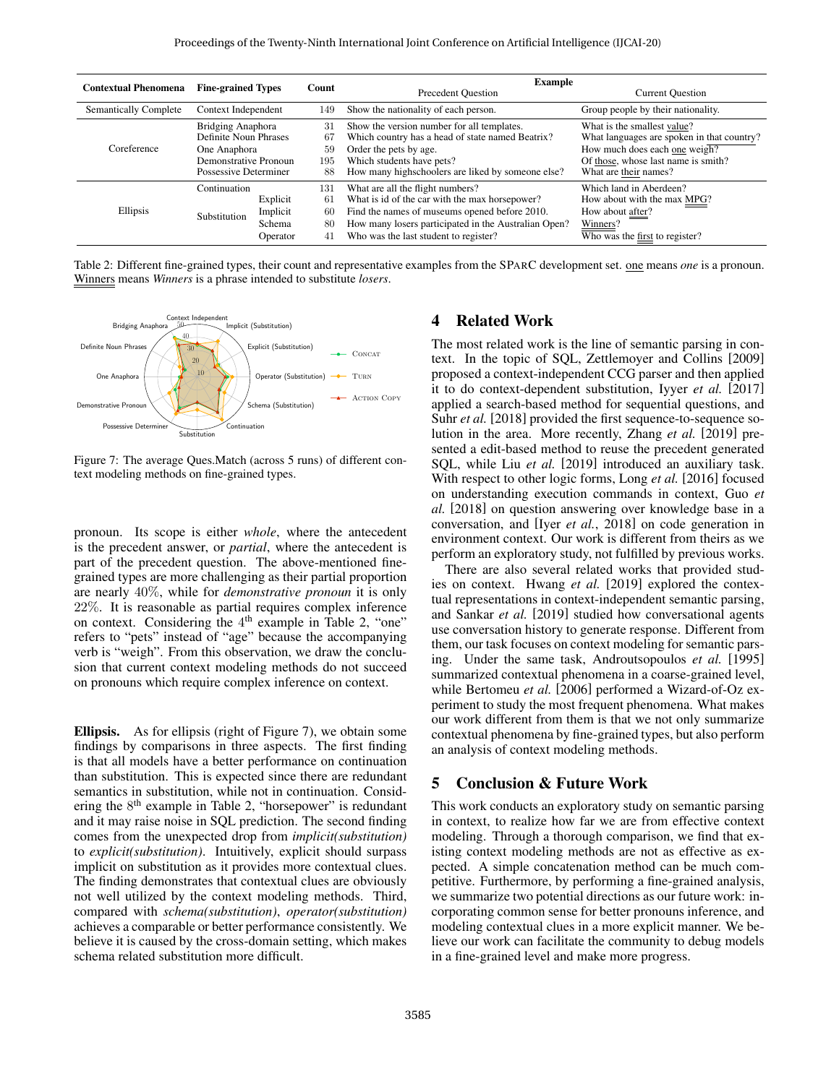<span id="page-5-0"></span>

| <b>Contextual Phenomena</b>  |                          | <b>Fine-grained Types</b> |     | <b>Example</b><br><b>Precedent Question</b><br><b>Current Question</b> |                                            |  |
|------------------------------|--------------------------|---------------------------|-----|------------------------------------------------------------------------|--------------------------------------------|--|
|                              |                          |                           |     |                                                                        |                                            |  |
| <b>Semantically Complete</b> | Context Independent      |                           | 149 | Show the nationality of each person.                                   | Group people by their nationality.         |  |
| Coreference                  | <b>Bridging Anaphora</b> |                           | 31  | Show the version number for all templates.                             | What is the smallest value?                |  |
|                              | Definite Noun Phrases    |                           | 67  | Which country has a head of state named Beatrix?                       | What languages are spoken in that country? |  |
|                              | One Anaphora             |                           | 59  | Order the pets by age.                                                 | How much does each one weigh?              |  |
|                              | Demonstrative Pronoun    |                           | 195 | Which students have pets?                                              | Of those, whose last name is smith?        |  |
|                              | Possessive Determiner    |                           | 88  | How many highs choolers are liked by some one else?                    | What are their names?                      |  |
| Ellipsis                     | Continuation             |                           | 131 | What are all the flight numbers?                                       | Which land in Aberdeen?                    |  |
|                              | Substitution             | Explicit                  | 61  | What is id of the car with the max horsepower?                         | How about with the max MPG?                |  |
|                              |                          | Implicit                  | 60  | Find the names of museums opened before 2010.                          | How about <b>after</b> ?                   |  |
|                              |                          | Schema                    | 80  | How many losers participated in the Australian Open?                   | Winners?                                   |  |
|                              |                          | Operator                  | 41  | Who was the last student to register?                                  | Who was the first to register?             |  |

Table 2: Different fine-grained types, their count and representative examples from the SPARC development set. one means *one* is a pronoun. Winners means *Winners* is a phrase intended to substitute *losers*.

<span id="page-5-1"></span>

Figure 7: The average Ques.Match (across 5 runs) of different context modeling methods on fine-grained types.

pronoun. Its scope is either *whole*, where the antecedent is the precedent answer, or *partial*, where the antecedent is part of the precedent question. The above-mentioned finegrained types are more challenging as their partial proportion are nearly 40%, while for *demonstrative pronoun* it is only 22%. It is reasonable as partial requires complex inference on context. Considering the  $4<sup>th</sup>$  example in Table [2,](#page-5-0) "one" refers to "pets" instead of "age" because the accompanying verb is "weigh". From this observation, we draw the conclusion that current context modeling methods do not succeed on pronouns which require complex inference on context.

Ellipsis. As for ellipsis (right of Figure [7\)](#page-5-1), we obtain some findings by comparisons in three aspects. The first finding is that all models have a better performance on continuation than substitution. This is expected since there are redundant semantics in substitution, while not in continuation. Consid-ering the 8<sup>th</sup> example in Table [2,](#page-5-0) "horsepower" is redundant and it may raise noise in SQL prediction. The second finding comes from the unexpected drop from *implicit(substitution)* to *explicit(substitution)*. Intuitively, explicit should surpass implicit on substitution as it provides more contextual clues. The finding demonstrates that contextual clues are obviously not well utilized by the context modeling methods. Third, compared with *schema(substitution)*, *operator(substitution)* achieves a comparable or better performance consistently. We believe it is caused by the cross-domain setting, which makes schema related substitution more difficult.

### 4 Related Work

The most related work is the line of semantic parsing in context. In the topic of SQL, [Zettlemoyer and Collins](#page-6-25) [\[2009\]](#page-6-25) proposed a context-independent CCG parser and then applied it to do context-dependent substitution, [Iyyer](#page-6-3) *et al.* [\[2017\]](#page-6-3) applied a search-based method for sequential questions, and Suhr *[et al.](#page-6-4)* [\[2018\]](#page-6-4) provided the first sequence-to-sequence solution in the area. More recently, [Zhang](#page-6-5) *et al.* [\[2019\]](#page-6-5) presented a edit-based method to reuse the precedent generated SQL, while Liu *[et al.](#page-6-26)* [\[2019\]](#page-6-26) introduced an auxiliary task. With respect to other logic forms, [Long](#page-6-27) *et al.* [\[2016\]](#page-6-27) focused on understanding execution commands in context, [Guo](#page-6-28) *et [al.](#page-6-28)* [\[2018\]](#page-6-28) on question answering over knowledge base in a conversation, and [Iyer *et al.*[, 2018\]](#page-6-29) on code generation in environment context. Our work is different from theirs as we perform an exploratory study, not fulfilled by previous works.

There are also several related works that provided studies on context. [Hwang](#page-6-18) *et al.* [\[2019\]](#page-6-18) explored the contextual representations in context-independent semantic parsing, and [Sankar](#page-6-30) *et al.* [\[2019\]](#page-6-30) studied how conversational agents use conversation history to generate response. Different from them, our task focuses on context modeling for semantic parsing. Under the same task, [Androutsopoulos](#page-6-1) *et al.* [\[1995\]](#page-6-1) summarized contextual phenomena in a coarse-grained level, while [Bertomeu](#page-6-0) *et al.* [\[2006\]](#page-6-0) performed a Wizard-of-Oz experiment to study the most frequent phenomena. What makes our work different from them is that we not only summarize contextual phenomena by fine-grained types, but also perform an analysis of context modeling methods.

#### 5 Conclusion & Future Work

This work conducts an exploratory study on semantic parsing in context, to realize how far we are from effective context modeling. Through a thorough comparison, we find that existing context modeling methods are not as effective as expected. A simple concatenation method can be much competitive. Furthermore, by performing a fine-grained analysis, we summarize two potential directions as our future work: incorporating common sense for better pronouns inference, and modeling contextual clues in a more explicit manner. We believe our work can facilitate the community to debug models in a fine-grained level and make more progress.